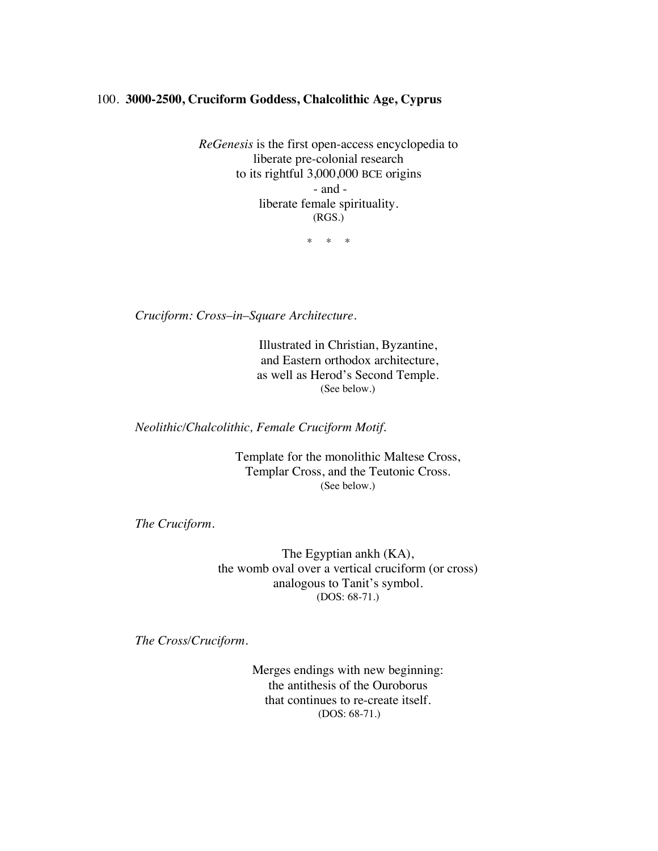## 100. **3000-2500, Cruciform Goddess, Chalcolithic Age, Cyprus**

*ReGenesis* is the first open-access encyclopedia to liberate pre-colonial research to its rightful 3,000,000 BCE origins - and liberate female spirituality. (RGS.)

\* \* \*

*Cruciform: Cross*–*in*–*Square Architecture.*

Illustrated in Christian, Byzantine, and Eastern orthodox architecture, as well as Herod's Second Temple. (See below.)

*Neolithic/Chalcolithic, Female Cruciform Motif.*

Template for the monolithic Maltese Cross, Templar Cross, and the Teutonic Cross. (See below.)

*The Cruciform.*

The Egyptian ankh (KA), the womb oval over a vertical cruciform (or cross) analogous to Tanit's symbol. (DOS: 68-71.)

*The Cross/Cruciform.*

Merges endings with new beginning: the antithesis of the Ouroborus that continues to re-create itself. (DOS: 68-71.)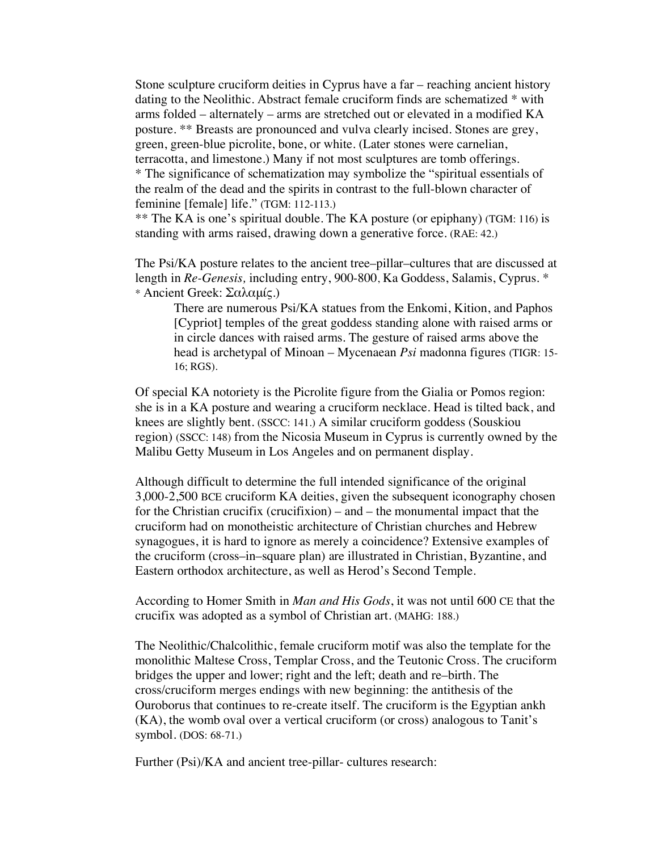Stone sculpture cruciform deities in Cyprus have a far – reaching ancient history dating to the Neolithic. Abstract female cruciform finds are schematized \* with arms folded – alternately – arms are stretched out or elevated in a modified KA posture. \*\* Breasts are pronounced and vulva clearly incised. Stones are grey, green, green-blue picrolite, bone, or white. (Later stones were carnelian, terracotta, and limestone.) Many if not most sculptures are tomb offerings. \* The significance of schematization may symbolize the "spiritual essentials of the realm of the dead and the spirits in contrast to the full-blown character of feminine [female] life." (TGM: 112-113.)

\*\* The KA is one's spiritual double. The KA posture (or epiphany) (TGM: 116) is standing with arms raised, drawing down a generative force. (RAE: 42.)

The Psi/KA posture relates to the ancient tree–pillar–cultures that are discussed at length in *Re-Genesis,* including entry, 900-800, Ka Goddess, Salamis, Cyprus. \* \* Ancient Greek: Σαλαμίς.)

There are numerous Psi/KA statues from the Enkomi, Kition, and Paphos [Cypriot] temples of the great goddess standing alone with raised arms or in circle dances with raised arms. The gesture of raised arms above the head is archetypal of Minoan – Mycenaean *Psi* madonna figures (TIGR: 15- 16; RGS).

Of special KA notoriety is the Picrolite figure from the Gialia or Pomos region: she is in a KA posture and wearing a cruciform necklace. Head is tilted back, and knees are slightly bent. (SSCC: 141.) A similar cruciform goddess (Souskiou region) (SSCC: 148) from the Nicosia Museum in Cyprus is currently owned by the Malibu Getty Museum in Los Angeles and on permanent display.

Although difficult to determine the full intended significance of the original 3,000-2,500 BCE cruciform KA deities, given the subsequent iconography chosen for the Christian crucifix (crucifixion) – and – the monumental impact that the cruciform had on monotheistic architecture of Christian churches and Hebrew synagogues, it is hard to ignore as merely a coincidence? Extensive examples of the cruciform (cross–in–square plan) are illustrated in Christian, Byzantine, and Eastern orthodox architecture, as well as Herod's Second Temple.

According to Homer Smith in *Man and His Gods*, it was not until 600 CE that the crucifix was adopted as a symbol of Christian art. (MAHG: 188.)

The Neolithic/Chalcolithic, female cruciform motif was also the template for the monolithic Maltese Cross, Templar Cross, and the Teutonic Cross. The cruciform bridges the upper and lower; right and the left; death and re–birth. The cross/cruciform merges endings with new beginning: the antithesis of the Ouroborus that continues to re-create itself. The cruciform is the Egyptian ankh (KA), the womb oval over a vertical cruciform (or cross) analogous to Tanit's symbol. (DOS: 68-71.)

Further (Psi)/KA and ancient tree-pillar- cultures research: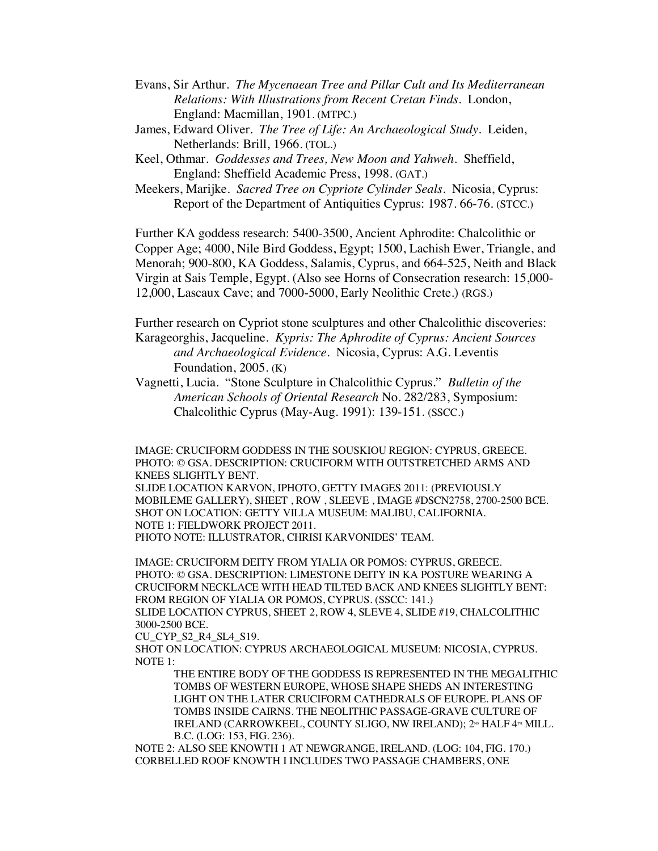- Evans, Sir Arthur. *The Mycenaean Tree and Pillar Cult and Its Mediterranean Relations: With Illustrations from Recent Cretan Finds*. London, England: Macmillan, 1901. (MTPC.)
- James, Edward Oliver. *The Tree of Life: An Archaeological Study*. Leiden, Netherlands: Brill, 1966. (TOL.)
- Keel, Othmar. *Goddesses and Trees, New Moon and Yahweh*. Sheffield, England: Sheffield Academic Press, 1998. (GAT.)
- Meekers, Marijke.*Sacred Tree on Cypriote Cylinder Seals*. Nicosia, Cyprus: Report of the Department of Antiquities Cyprus: 1987. 66-76. (STCC.)

Further KA goddess research: 5400-3500, Ancient Aphrodite: Chalcolithic or Copper Age; 4000, Nile Bird Goddess, Egypt; 1500, Lachish Ewer, Triangle, and Menorah; 900-800, KA Goddess, Salamis, Cyprus, and 664-525, Neith and Black Virgin at Sais Temple, Egypt. (Also see Horns of Consecration research: 15,000- 12,000, Lascaux Cave; and 7000-5000, Early Neolithic Crete.) (RGS.)

Further research on Cypriot stone sculptures and other Chalcolithic discoveries: Karageorghis, Jacqueline. *Kypris: The Aphrodite of Cyprus: Ancient Sources and Archaeological Evidence*. Nicosia, Cyprus: A.G. Leventis Foundation, 2005. (K)

Vagnetti, Lucia. "Stone Sculpture in Chalcolithic Cyprus." *Bulletin of the American Schools of Oriental Research* No. 282/283, Symposium: Chalcolithic Cyprus (May-Aug. 1991): 139-151. (SSCC.)

IMAGE: CRUCIFORM GODDESS IN THE SOUSKIOU REGION: CYPRUS, GREECE. PHOTO: © GSA. DESCRIPTION: CRUCIFORM WITH OUTSTRETCHED ARMS AND KNEES SLIGHTLY BENT.

SLIDE LOCATION KARVON, IPHOTO, GETTY IMAGES 2011: (PREVIOUSLY MOBILEME GALLERY), SHEET , ROW , SLEEVE , IMAGE #DSCN2758, 2700-2500 BCE. SHOT ON LOCATION: GETTY VILLA MUSEUM: MALIBU, CALIFORNIA. NOTE 1: FIELDWORK PROJECT 2011. PHOTO NOTE: ILLUSTRATOR, CHRISI KARVONIDES' TEAM.

IMAGE: CRUCIFORM DEITY FROM YIALIA OR POMOS: CYPRUS, GREECE. PHOTO: © GSA. DESCRIPTION: LIMESTONE DEITY IN KA POSTURE WEARING A CRUCIFORM NECKLACE WITH HEAD TILTED BACK AND KNEES SLIGHTLY BENT: FROM REGION OF YIALIA OR POMOS, CYPRUS. (SSCC: 141.) SLIDE LOCATION CYPRUS, SHEET 2, ROW 4, SLEVE 4, SLIDE #19, CHALCOLITHIC

3000-2500 BCE.

CU\_CYP\_S2\_R4\_SL4\_S19.

SHOT ON LOCATION: CYPRUS ARCHAEOLOGICAL MUSEUM: NICOSIA, CYPRUS. NOTE 1:

THE ENTIRE BODY OF THE GODDESS IS REPRESENTED IN THE MEGALITHIC TOMBS OF WESTERN EUROPE, WHOSE SHAPE SHEDS AN INTERESTING LIGHT ON THE LATER CRUCIFORM CATHEDRALS OF EUROPE. PLANS OF TOMBS INSIDE CAIRNS. THE NEOLITHIC PASSAGE-GRAVE CULTURE OF IRELAND (CARROWKEEL, COUNTY SLIGO, NW IRELAND); 2<sup>ND</sup> HALF 4<sup>TH</sup> MILL. B.C. (LOG: 153, FIG. 236).

NOTE 2: ALSO SEE KNOWTH 1 AT NEWGRANGE, IRELAND. (LOG: 104, FIG. 170.) CORBELLED ROOF KNOWTH I INCLUDES TWO PASSAGE CHAMBERS, ONE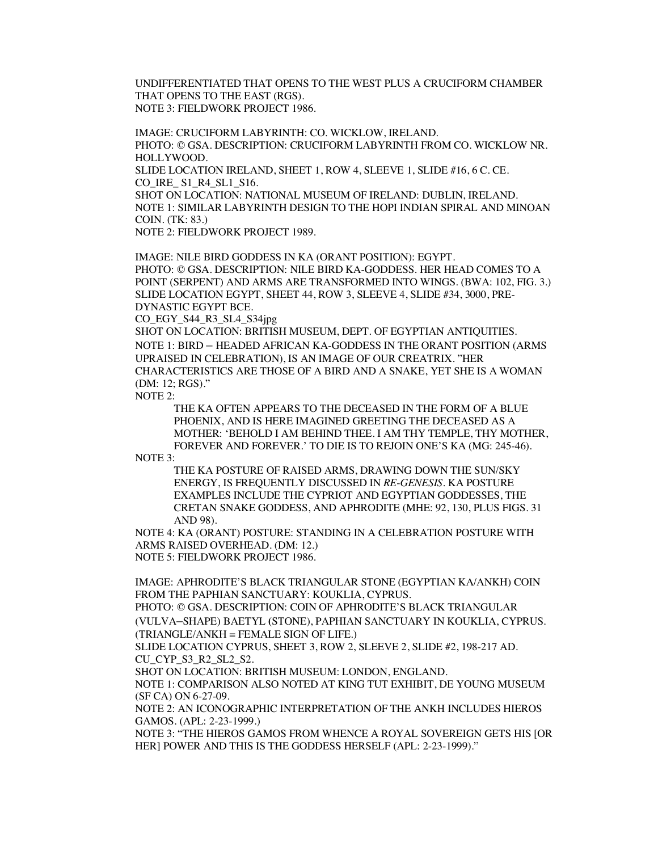UNDIFFERENTIATED THAT OPENS TO THE WEST PLUS A CRUCIFORM CHAMBER THAT OPENS TO THE EAST (RGS). NOTE 3: FIELDWORK PROJECT 1986.

IMAGE: CRUCIFORM LABYRINTH: CO. WICKLOW, IRELAND. PHOTO: © GSA. DESCRIPTION: CRUCIFORM LABYRINTH FROM CO. WICKLOW NR. HOLLYWOOD. SLIDE LOCATION IRELAND, SHEET 1, ROW 4, SLEEVE 1, SLIDE #16, 6 C. CE. CO\_IRE\_ S1\_R4\_SL1\_S16. SHOT ON LOCATION: NATIONAL MUSEUM OF IRELAND: DUBLIN, IRELAND. NOTE 1: SIMILAR LABYRINTH DESIGN TO THE HOPI INDIAN SPIRAL AND MINOAN COIN. (TK: 83.)

NOTE 2: FIELDWORK PROJECT 1989.

IMAGE: NILE BIRD GODDESS IN KA (ORANT POSITION): EGYPT. PHOTO: © GSA. DESCRIPTION: NILE BIRD KA-GODDESS. HER HEAD COMES TO A POINT (SERPENT) AND ARMS ARE TRANSFORMED INTO WINGS. (BWA: 102, FIG. 3.) SLIDE LOCATION EGYPT, SHEET 44, ROW 3, SLEEVE 4, SLIDE #34, 3000, PRE-DYNASTIC EGYPT BCE.

CO\_EGY\_S44\_R3\_SL4\_S34jpg

SHOT ON LOCATION: BRITISH MUSEUM, DEPT. OF EGYPTIAN ANTIQUITIES. NOTE 1: BIRD – HEADED AFRICAN KA-GODDESS IN THE ORANT POSITION (ARMS UPRAISED IN CELEBRATION), IS AN IMAGE OF OUR CREATRIX. "HER CHARACTERISTICS ARE THOSE OF A BIRD AND A SNAKE, YET SHE IS A WOMAN (DM: 12; RGS)."

NOTE 2:

THE KA OFTEN APPEARS TO THE DECEASED IN THE FORM OF A BLUE PHOENIX, AND IS HERE IMAGINED GREETING THE DECEASED AS A MOTHER: 'BEHOLD I AM BEHIND THEE. I AM THY TEMPLE, THY MOTHER, FOREVER AND FOREVER.' TO DIE IS TO REJOIN ONE'S KA (MG: 245-46).

NOTE 3:

THE KA POSTURE OF RAISED ARMS, DRAWING DOWN THE SUN/SKY ENERGY, IS FREQUENTLY DISCUSSED IN *RE*-*GENESIS.* KA POSTURE EXAMPLES INCLUDE THE CYPRIOT AND EGYPTIAN GODDESSES, THE CRETAN SNAKE GODDESS, AND APHRODITE (MHE: 92, 130, PLUS FIGS. 31 AND 98).

NOTE 4: KA (ORANT) POSTURE: STANDING IN A CELEBRATION POSTURE WITH ARMS RAISED OVERHEAD. (DM: 12.) NOTE 5: FIELDWORK PROJECT 1986.

IMAGE: APHRODITE'S BLACK TRIANGULAR STONE (EGYPTIAN KA/ANKH) COIN FROM THE PAPHIAN SANCTUARY: KOUKLIA, CYPRUS.

PHOTO: © GSA. DESCRIPTION: COIN OF APHRODITE'S BLACK TRIANGULAR (VULVA–SHAPE) BAETYL **(**STONE), PAPHIAN SANCTUARY IN KOUKLIA, CYPRUS. (TRIANGLE/ANKH = FEMALE SIGN OF LIFE.)

SLIDE LOCATION CYPRUS, SHEET 3, ROW 2, SLEEVE 2, SLIDE #2, 198-217 AD. CU\_CYP\_S3\_R2\_SL2\_S2.

SHOT ON LOCATION: BRITISH MUSEUM: LONDON, ENGLAND.

NOTE 1: COMPARISON ALSO NOTED AT KING TUT EXHIBIT, DE YOUNG MUSEUM (SF CA) ON 6-27-09.

NOTE 2: AN ICONOGRAPHIC INTERPRETATION OF THE ANKH INCLUDES HIEROS GAMOS. (APL: 2-23-1999.)

NOTE 3: "THE HIEROS GAMOS FROM WHENCE A ROYAL SOVEREIGN GETS HIS [OR HER] POWER AND THIS IS THE GODDESS HERSELF (APL: 2-23-1999)."